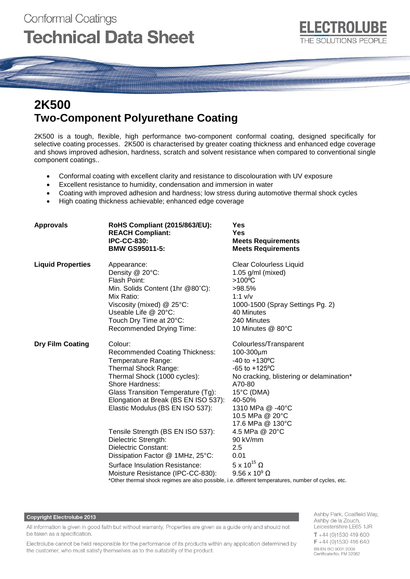

# **2K500 Two-Component Polyurethane Coating**

2K500 is a tough, flexible, high performance two-component conformal coating, designed specifically for selective coating processes. 2K500 is characterised by greater coating thickness and enhanced edge coverage and shows improved adhesion, hardness, scratch and solvent resistance when compared to conventional single component coatings..

- Conformal coating with excellent clarity and resistance to discolouration with UV exposure
- Excellent resistance to humidity, condensation and immersion in water
- Coating with improved adhesion and hardness; low stress during automotive thermal shock cycles
- High coating thickness achievable; enhanced edge coverage

| <b>Approvals</b>         | RoHS Compliant (2015/863/EU):<br><b>REACH Compliant:</b><br><b>IPC-CC-830:</b><br><b>BMW GS95011-5:</b>                                                                                                                                                                                                                                                                                                                                                             | Yes<br><b>Yes</b><br><b>Meets Requirements</b><br><b>Meets Requirements</b>                                                                                                                                                                                                                                                                                                                                                         |  |
|--------------------------|---------------------------------------------------------------------------------------------------------------------------------------------------------------------------------------------------------------------------------------------------------------------------------------------------------------------------------------------------------------------------------------------------------------------------------------------------------------------|-------------------------------------------------------------------------------------------------------------------------------------------------------------------------------------------------------------------------------------------------------------------------------------------------------------------------------------------------------------------------------------------------------------------------------------|--|
| <b>Liquid Properties</b> | Appearance:<br>Density @ 20°C:<br>Flash Point:<br>Min. Solids Content (1hr @80°C):<br>Mix Ratio:<br>Viscosity (mixed) @ 25°C:<br>Useable Life $@$ 20 $°C$ :<br>Touch Dry Time at 20°C:<br>Recommended Drying Time:                                                                                                                                                                                                                                                  | <b>Clear Colourless Liquid</b><br>$1.05$ g/ml (mixed)<br>$>100^{\circ}$ C<br>>98.5%<br>$1:1$ v/v<br>1000-1500 (Spray Settings Pg. 2)<br>40 Minutes<br>240 Minutes<br>10 Minutes @ 80°C                                                                                                                                                                                                                                              |  |
| <b>Dry Film Coating</b>  | Colour:<br><b>Recommended Coating Thickness:</b><br>Temperature Range:<br>Thermal Shock Range:<br>Thermal Shock (1000 cycles):<br>Shore Hardness:<br>Glass Transition Temperature (Tg):<br>Elongation at Break (BS EN ISO 537):<br>Elastic Modulus (BS EN ISO 537):<br>Tensile Strength (BS EN ISO 537):<br>Dielectric Strength:<br>Dielectric Constant:<br>Dissipation Factor @ 1MHz, 25°C:<br>Surface Insulation Resistance:<br>Moisture Resistance (IPC-CC-830): | Colourless/Transparent<br>100-300µm<br>-40 to +130°C<br>$-65$ to $+125$ °C<br>No cracking, blistering or delamination*<br>A70-80<br>15°C (DMA)<br>40-50%<br>1310 MPa @ -40°C<br>10.5 MPa @ 20°C<br>17.6 MPa @ 130°C<br>4.5 MPa @ 20°C<br>90 kV/mm<br>2.5<br>0.01<br>$5 \times 10^{15}$ $\Omega$<br>$9.56 \times 10^9 \Omega$<br>*Other thermal shock regimes are also possible, i.e. different temperatures, number of cycles, etc. |  |

### **Copyright Electrolube 2013**

All information is given in good faith but without warranty. Properties are given as a guide only and should not be taken as a specification.

Electrolube cannot be held responsible for the performance of its products within any application determined by the customer, who must satisfy themselves as to the suitability of the product.

Ashby Park, Coalfield Way, Ashby de la Zouch, Leicestershire LE65 1JR  $T + 44$  (0)1530 419 600  $F + 44(0)1530416640$ BS EN ISO 9001:2008 Certificate No. FM 32082